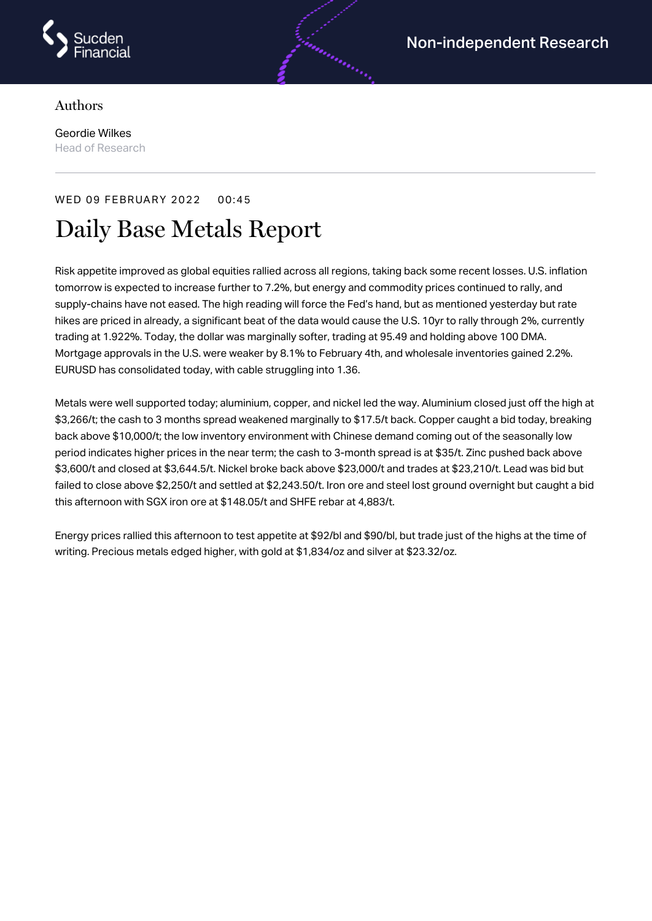

## Authors

Geordie Wilkes Head of Research

## WED 09 FEBRUARY 2022 00:45

## Daily Base Metals Report

Risk appetite improved as global equities rallied across all regions, taking back some recent losses. U.S. inflation tomorrow is expected to increase further to 7.2%, but energy and commodity prices continued to rally, and supply-chains have not eased. The high reading will force the Fed's hand, but as mentioned yesterday but rate hikes are priced in already, a significant beat of the data would cause the U.S. 10yr to rally through 2%, currently trading at 1.922%. Today, the dollar was marginally softer, trading at 95.49 and holding above 100 DMA. Mortgage approvals in the U.S. were weaker by 8.1% to February 4th, and wholesale inventories gained 2.2%. EURUSD has consolidated today, with cable struggling into 1.36.

Metals were well supported today; aluminium, copper, and nickel led the way. Aluminium closed just off the high at \$3,266/t; the cash to 3 months spread weakened marginally to \$17.5/t back. Copper caught a bid today, breaking back above \$10,000/t; the low inventory environment with Chinese demand coming out of the seasonally low period indicates higher prices in the near term; the cash to 3-month spread is at \$35/t. Zinc pushed back above \$3,600/t and closed at \$3,644.5/t. Nickel broke back above \$23,000/t and trades at \$23,210/t. Lead was bid but failed to close above \$2,250/t and settled at \$2,243.50/t. Iron ore and steel lost ground overnight but caught a bid this afternoon with SGX iron ore at \$148.05/t and SHFE rebar at 4,883/t.

Energy prices rallied this afternoon to test appetite at \$92/bl and \$90/bl, but trade just of the highs at the time of writing. Precious metals edged higher, with gold at \$1,834/oz and silver at \$23.32/oz.